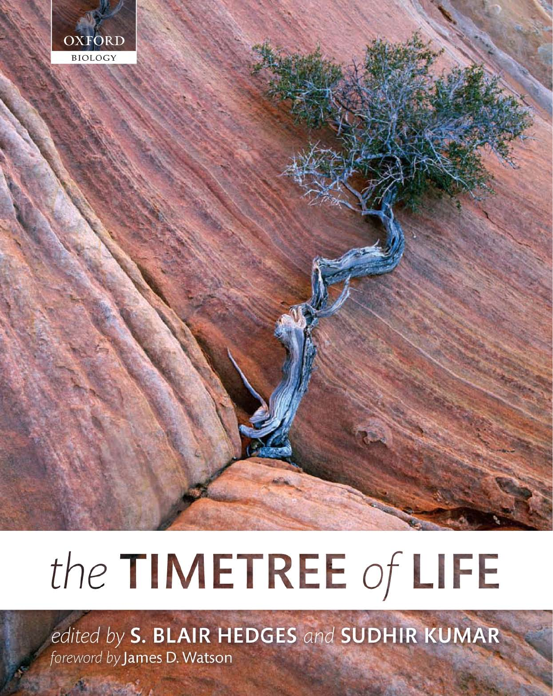

# the TIMETREE of LIFE

edited by S. BLAIR HEDGES and SUDHIR KUMAR foreword by James D. Watson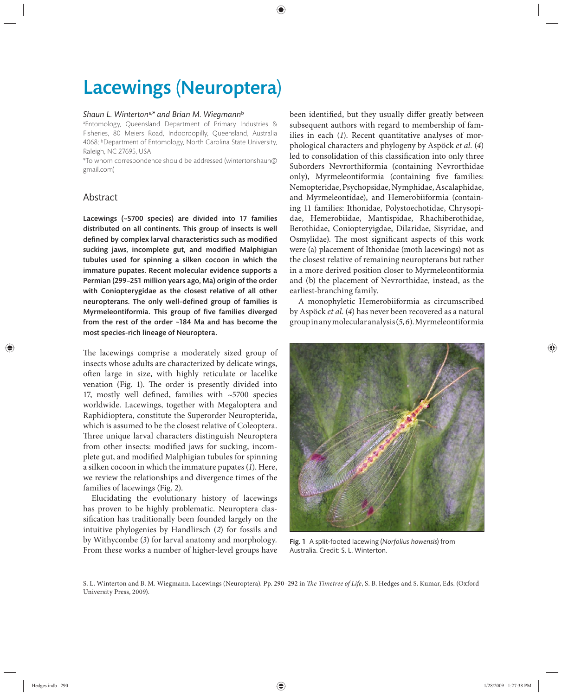## Lacewings (Neuroptera)

#### *Shaun L. Winterton*a,*\* and Brian M. Wiegmann*<sup>b</sup>

a Entomology, Queensland Department of Primary Industries & Fisheries, 80 Meiers Road, Indooroopilly, Queensland, Australia 4068; bDepartment of Entomology, North Carolina State University, Raleigh, NC 27695, USA

\*To whom correspondence should be addressed (wintertonshaun@ gmail.com)

### Abstract

Lacewings  $(-5700$  species) are divided into 17 families distributed on all continents. This group of insects is well defined by complex larval characteristics such as modified sucking jaws, incomplete gut, and modified Malphigian tubules used for spinning a silken cocoon in which the immature pupates. Recent molecular evidence supports a Permian (299–251 million years ago, Ma) origin of the order with Coniopterygidae as the closest relative of all other neuropterans. The only well-defined group of families is Myrmeleontiformia. This group of five families diverged from the rest of the order  $~184$  Ma and has become the most species-rich lineage of Neuroptera.

The lacewings comprise a moderately sized group of insects whose adults are characterized by delicate wings, often large in size, with highly reticulate or lacelike venation (Fig. 1). The order is presently divided into 17, mostly well defined, families with ~5700 species worldwide. Lacewings, together with Megaloptera and Raphidioptera, constitute the Superorder Neuropterida, which is assumed to be the closest relative of Coleoptera. Three unique larval characters distinguish Neuroptera from other insects: modified jaws for sucking, incomplete gut, and modified Malphigian tubules for spinning a silken cocoon in which the immature pupates (*1*). Here, we review the relationships and divergence times of the families of lacewings (Fig. 2).

Elucidating the evolutionary history of lacewings has proven to be highly problematic. Neuroptera classification has traditionally been founded largely on the intuitive phylogenies by Handlirsch (*2*) for fossils and by Withycombe (*3*) for larval anatomy and morphology*.* From these works a number of higher-level groups have been identified, but they usually differ greatly between subsequent authors with regard to membership of families in each (1). Recent quantitative analyses of morphological characters and phylogeny by Aspöck *et al.* (*4*) led to consolidation of this classification into only three Suborders Nevrorthiformia (containing Nevrorthidae only), Myrmeleontiformia (containing five families: Nemopteridae, Psychopsidae, Nymphidae, Ascalaphidae, and Myrmeleontidae), and Hemerobiiformia (containing 11 families: Ithonidae, Polystoechotidae, Chrysopidae, Hemerobiidae, Mantispidae, Rhachiberothidae, Berothidae, Coniopteryigdae, Dilaridae, Sisyridae, and Osmylidae). The most significant aspects of this work were (a) placement of Ithonidae (moth lacewings) not as the closest relative of remaining neuropterans but rather in a more derived position closer to Myrmeleontiformia and (b) the placement of Nevrorthidae, instead, as the earliest-branching family.

A monophyletic Hemerobiiformia as circumscribed by Aspöck *et al*. (*4*) has never been recovered as a natural group in any molecular analysis (*5, 6*). Myrmeleontiformia



Fig. 1 A split-footed lacewing (*Norfolius howensis*) from Australia. Credit: S. L. Winterton.

S. L. Winterton and B. M. Wiegmann. Lacewings (Neuroptera). Pp. 290-292 in *The Timetree of Life*, S. B. Hedges and S. Kumar, Eds. (Oxford University Press, 2009).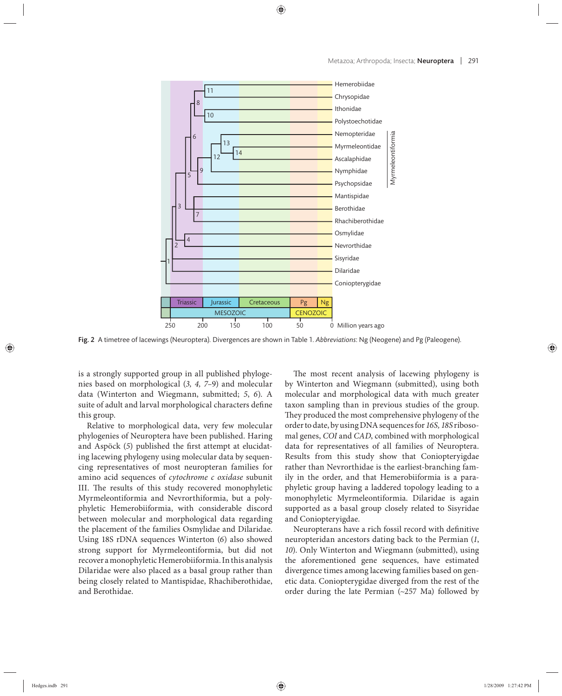

Fig. 2 A timetree of lacewings (Neuroptera). Divergences are shown in Table 1. *Abbreviations*: Ng (Neogene) and Pg (Paleogene).

is a strongly supported group in all published phylogenies based on morphological (3, 4, 7-9) and molecular data (Winterton and Wiegmann, submitted; *5*, *6*). A suite of adult and larval morphological characters define this group.

Relative to morphological data, very few molecular phylogenies of Neuroptera have been published. Haring and Aspöck (5) published the first attempt at elucidating lacewing phylogeny using molecular data by sequencing representatives of most neu ropteran families for amino acid sequences of *cytochrome c oxidase* subunit III. The results of this study recovered monophyletic Myrmeleontiformia and Nevrorthiformia, but a polyphyletic Hemerobiiformia, with considerable discord between molecular and morphological data regarding the placement of the families Osmylidae and Dilaridae. Using 18S rDNA sequences Winterton (*6*) also showed strong support for Myrmeleontiformia, but did not recover a monophyletic Hemerobiiformia. In this analysis Dilaridae were also placed as a basal group rather than being closely related to Mantispidae, Rhachiberothidae, and Berothidae.

The most recent analysis of lacewing phylogeny is by Winterton and Wiegmann (submitted), using both molecular and morphological data with much greater taxon sampling than in previous studies of the group. They produced the most comprehensive phylogeny of the order to date, by using DNA sequences for *16S, 18S* ribosomal genes, *COI* and *CAD*, combined with morphological data for representatives of all families of Neuroptera. Results from this study show that Coniopteryigdae rather than Nevrorthidae is the earliest-branching family in the order, and that Hemerobiiformia is a paraphyletic group having a laddered topology leading to a monophyletic Myrmeleontiformia. Dilaridae is again supported as a basal group closely related to Sisyridae and Coniopteryigdae.

Neuropterans have a rich fossil record with definitive neuropteridan ancestors dating back to the Permian (*1*, *10*). Only Winterton and Wiegmann (submitted), using the aforementioned gene sequences, have estimated divergence times among lacewing families based on genetic data. Coniopterygidae diverged from the rest of the order during the late Permian (~257 Ma) followed by